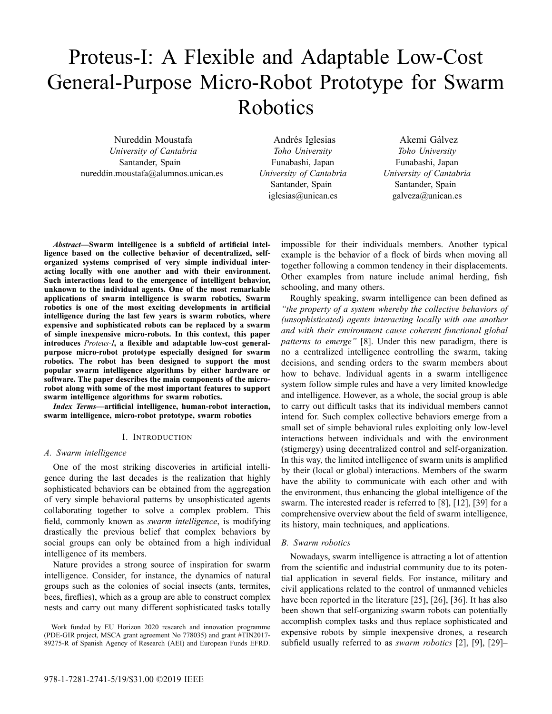# Proteus-I: A Flexible and Adaptable Low-Cost General-Purpose Micro-Robot Prototype for Swarm Robotics

Nureddin Moustafa *University of Cantabria* Santander, Spain nureddin.moustafa@alumnos.unican.es

Andrés Iglesias *Toho University* Funabashi, Japan *University of Cantabria* Santander, Spain iglesias@unican.es

Akemi Gálvez *Toho University* Funabashi, Japan *University of Cantabria* Santander, Spain galveza@unican.es

*Abstract***—Swarm intelligence is a subfield of artificial intelligence based on the collective behavior of decentralized, selforganized systems comprised of very simple individual interacting locally with one another and with their environment. Such interactions lead to the emergence of intelligent behavior, unknown to the individual agents. One of the most remarkable applications of swarm intelligence is swarm robotics, Swarm robotics is one of the most exciting developments in artificial intelligence during the last few years is swarm robotics, where expensive and sophisticated robots can be replaced by a swarm of simple inexpensive micro-robots. In this context, this paper introduces** *Proteus-I***, a flexible and adaptable low-cost generalpurpose micro-robot prototype especially designed for swarm robotics. The robot has been designed to support the most popular swarm intelligence algorithms by either hardware or software. The paper describes the main components of the microrobot along with some of the most important features to support swarm intelligence algorithms for swarm robotics.**

*Index Terms***—artificial intelligence, human-robot interaction, swarm intelligence, micro-robot prototype, swarm robotics**

# I. INTRODUCTION

# *A. Swarm intelligence*

One of the most striking discoveries in artificial intelligence during the last decades is the realization that highly sophisticated behaviors can be obtained from the aggregation of very simple behavioral patterns by unsophisticated agents collaborating together to solve a complex problem. This field, commonly known as *swarm intelligence*, is modifying drastically the previous belief that complex behaviors by social groups can only be obtained from a high individual intelligence of its members.

Nature provides a strong source of inspiration for swarm intelligence. Consider, for instance, the dynamics of natural groups such as the colonies of social insects (ants, termites, bees, fireflies), which as a group are able to construct complex nests and carry out many different sophisticated tasks totally

Work funded by EU Horizon 2020 research and innovation programme (PDE-GIR project, MSCA grant agreement No 778035) and grant #TIN2017- 89275-R of Spanish Agency of Research (AEI) and European Funds EFRD.

impossible for their individuals members. Another typical example is the behavior of a flock of birds when moving all together following a common tendency in their displacements. Other examples from nature include animal herding, fish schooling, and many others.

Roughly speaking, swarm intelligence can been defined as *"the property of a system whereby the collective behaviors of (unsophisticated) agents interacting locally with one another and with their environment cause coherent functional global patterns to emerge"* [8]. Under this new paradigm, there is no a centralized intelligence controlling the swarm, taking decisions, and sending orders to the swarm members about how to behave. Individual agents in a swarm intelligence system follow simple rules and have a very limited knowledge and intelligence. However, as a whole, the social group is able to carry out difficult tasks that its individual members cannot intend for. Such complex collective behaviors emerge from a small set of simple behavioral rules exploiting only low-level interactions between individuals and with the environment (stigmergy) using decentralized control and self-organization. In this way, the limited intelligence of swarm units is amplified by their (local or global) interactions. Members of the swarm have the ability to communicate with each other and with the environment, thus enhancing the global intelligence of the swarm. The interested reader is referred to [8], [12], [39] for a comprehensive overview about the field of swarm intelligence, its history, main techniques, and applications.

# *B. Swarm robotics*

Nowadays, swarm intelligence is attracting a lot of attention from the scientific and industrial community due to its potential application in several fields. For instance, military and civil applications related to the control of unmanned vehicles have been reported in the literature [25], [26], [36]. It has also been shown that self-organizing swarm robots can potentially accomplish complex tasks and thus replace sophisticated and expensive robots by simple inexpensive drones, a research subfield usually referred to as *swarm robotics* [2], [9], [29]–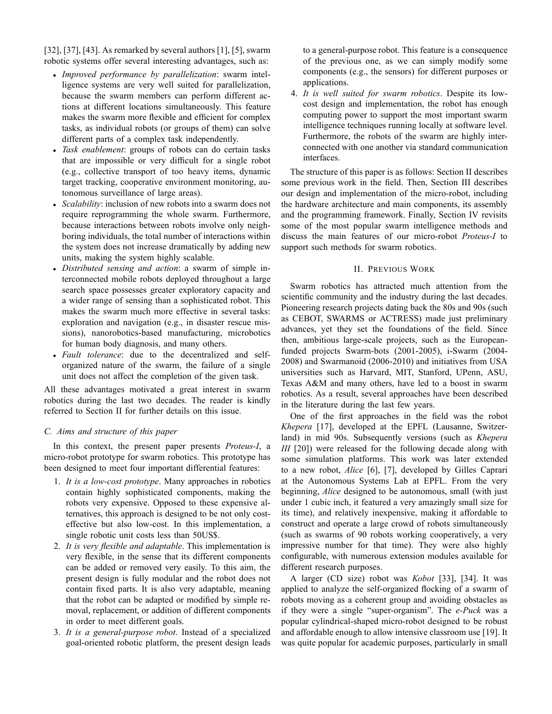[32], [37], [43]. As remarked by several authors [1], [5], swarm robotic systems offer several interesting advantages, such as:

- *Improved performance by parallelization*: swarm intelligence systems are very well suited for parallelization, because the swarm members can perform different actions at different locations simultaneously. This feature makes the swarm more flexible and efficient for complex tasks, as individual robots (or groups of them) can solve different parts of a complex task independently.
- *Task enablement*: groups of robots can do certain tasks that are impossible or very difficult for a single robot (e.g., collective transport of too heavy items, dynamic target tracking, cooperative environment monitoring, autonomous surveillance of large areas).
- *Scalability*: inclusion of new robots into a swarm does not require reprogramming the whole swarm. Furthermore, because interactions between robots involve only neighboring individuals, the total number of interactions within the system does not increase dramatically by adding new units, making the system highly scalable.
- *Distributed sensing and action*: a swarm of simple interconnected mobile robots deployed throughout a large search space possesses greater exploratory capacity and a wider range of sensing than a sophisticated robot. This makes the swarm much more effective in several tasks: exploration and navigation (e.g., in disaster rescue missions), nanorobotics-based manufacturing, microbotics for human body diagnosis, and many others.
- *Fault tolerance*: due to the decentralized and selforganized nature of the swarm, the failure of a single unit does not affect the completion of the given task.

All these advantages motivated a great interest in swarm robotics during the last two decades. The reader is kindly referred to Section II for further details on this issue.

# *C. Aims and structure of this paper*

In this context, the present paper presents *Proteus-I*, a micro-robot prototype for swarm robotics. This prototype has been designed to meet four important differential features:

- 1. *It is a low-cost prototype*. Many approaches in robotics contain highly sophisticated components, making the robots very expensive. Opposed to these expensive alternatives, this approach is designed to be not only costeffective but also low-cost. In this implementation, a single robotic unit costs less than 50US\$.
- 2. *It is very flexible and adaptable*. This implementation is very flexible, in the sense that its different components can be added or removed very easily. To this aim, the present design is fully modular and the robot does not contain fixed parts. It is also very adaptable, meaning that the robot can be adapted or modified by simple removal, replacement, or addition of different components in order to meet different goals.
- 3. *It is a general-purpose robot*. Instead of a specialized goal-oriented robotic platform, the present design leads

to a general-purpose robot. This feature is a consequence of the previous one, as we can simply modify some components (e.g., the sensors) for different purposes or applications.

4. *It is well suited for swarm robotics*. Despite its lowcost design and implementation, the robot has enough computing power to support the most important swarm intelligence techniques running locally at software level. Furthermore, the robots of the swarm are highly interconnected with one another via standard communication interfaces.

The structure of this paper is as follows: Section II describes some previous work in the field. Then, Section III describes our design and implementation of the micro-robot, including the hardware architecture and main components, its assembly and the programming framework. Finally, Section IV revisits some of the most popular swarm intelligence methods and discuss the main features of our micro-robot *Proteus-I* to support such methods for swarm robotics.

# II. PREVIOUS WORK

Swarm robotics has attracted much attention from the scientific community and the industry during the last decades. Pioneering research projects dating back the 80s and 90s (such as CEBOT, SWARMS or ACTRESS) made just preliminary advances, yet they set the foundations of the field. Since then, ambitious large-scale projects, such as the Europeanfunded projects Swarm-bots (2001-2005), i-Swarm (2004- 2008) and Swarmanoid (2006-2010) and initiatives from USA universities such as Harvard, MIT, Stanford, UPenn, ASU, Texas A&M and many others, have led to a boost in swarm robotics. As a result, several approaches have been described in the literature during the last few years.

One of the first approaches in the field was the robot *Khepera* [17], developed at the EPFL (Lausanne, Switzerland) in mid 90s. Subsequently versions (such as *Khepera III* [20]) were released for the following decade along with some simulation platforms. This work was later extended to a new robot, *Alice* [6], [7], developed by Gilles Caprari at the Autonomous Systems Lab at EPFL. From the very beginning, *Alice* designed to be autonomous, small (with just under 1 cubic inch, it featured a very amazingly small size for its time), and relatively inexpensive, making it affordable to construct and operate a large crowd of robots simultaneously (such as swarms of 90 robots working cooperatively, a very impressive number for that time). They were also highly configurable, with numerous extension modules available for different research purposes.

A larger (CD size) robot was *Kobot* [33], [34]. It was applied to analyze the self-organized flocking of a swarm of robots moving as a coherent group and avoiding obstacles as if they were a single "super-organism". The *e-Puck* was a popular cylindrical-shaped micro-robot designed to be robust and affordable enough to allow intensive classroom use [19]. It was quite popular for academic purposes, particularly in small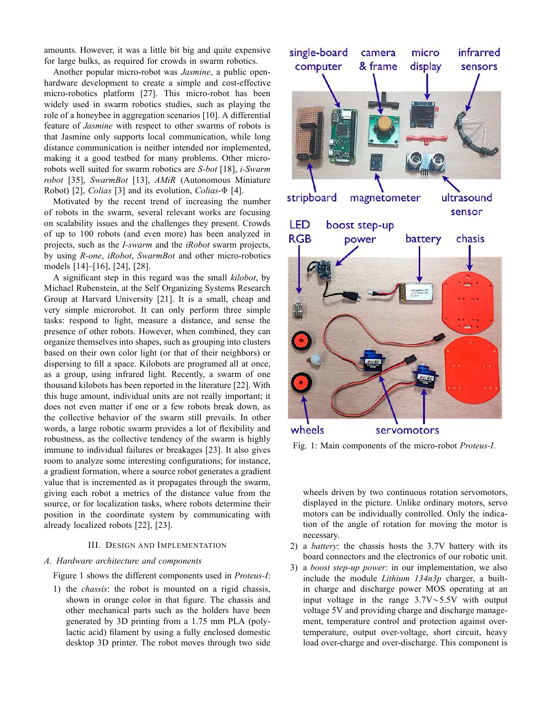amounts. However, it was a little bit big and quite expensive for large bulks, as required for crowds in swarm robotics.

Another popular micro-robot was *Jasmine*, a public openhardware development to create a simple and cost-effective micro-robotics platform [27]. This micro-robot has been widely used in swarm robotics studies, such as playing the role of a honeybee in aggregation scenarios [10]. A differential feature of *Jasmine* with respect to other swarms of robots is that Jasmine only supports local communication, while long distance communication is neither intended nor implemented, making it a good testbed for many problems. Other microrobots well suited for swarm robotics are *S-bot* [18], *i-Swarm robot* [35], *SwarmBot* [13], *AMiR* (Autonomous Miniature Robot) [2], *Colias* [3] and its evolution, *Colias*-Φ [4].

Motivated by the recent trend of increasing the number of robots in the swarm, several relevant works are focusing on scalability issues and the challenges they present. Crowds of up to 100 robots (and even more) has been analyzed in projects, such as the *I-swarm* and the *iRobot* swarm projects, by using *R-one*, *iRobot*, *SwarmBot* and other micro-robotics models [14]–[16], [24], [28].

A significant step in this regard was the small *kilobot*, by Michael Rubenstein, at the Self Organizing Systems Research Group at Harvard University [21]. It is a small, cheap and very simple microrobot. It can only perform three simple tasks: respond to light, measure a distance, and sense the presence of other robots. However, when combined, they can organize themselves into shapes, such as grouping into clusters based on their own color light (or that of their neighbors) or dispersing to fill a space. Kilobots are programed all at once, as a group, using infrared light. Recently, a swarm of one thousand kilobots has been reported in the literature [22]. With this huge amount, individual units are not really important; it does not even matter if one or a few robots break down, as the collective behavior of the swarm still prevails. In other words, a large robotic swarm provides a lot of flexibility and robustness, as the collective tendency of the swarm is highly immune to individual failures or breakages [23]. It also gives room to analyze some interesting configurations; for instance, a gradient formation, where a source robot generates a gradient value that is incremented as it propagates through the swarm, giving each robot a metrics of the distance value from the source, or for localization tasks, where robots determine their position in the coordinate system by communicating with already localized robots [22], [23].

# III. DESIGN AND IMPLEMENTATION

# *A. Hardware architecture and components*

Figure 1 shows the different components used in *Proteus-I*:

1) the *chassis*: the robot is mounted on a rigid chassis, shown in orange color in that figure. The chassis and other mechanical parts such as the holders have been generated by 3D printing from a 1.75 mm PLA (polylactic acid) filament by using a fully enclosed domestic desktop 3D printer. The robot moves through two side



Fig. 1: Main components of the micro-robot *Proteus-I*.

wheels driven by two continuous rotation servomotors, displayed in the picture. Unlike ordinary motors, servo motors can be individually controlled. Only the indication of the angle of rotation for moving the motor is necessary.

- 2) a *battery*: the chassis hosts the 3.7V battery with its board connectors and the electronics of our robotic unit.
- 3) a *boost step-up power*: in our implementation, we also include the module *Lithium 134n3p* charger, a builtin charge and discharge power MOS operating at an input voltage in the range  $3.7V \sim 5.5V$  with output voltage 5V and providing charge and discharge management, temperature control and protection against overtemperature, output over-voltage, short circuit, heavy load over-charge and over-discharge. This component is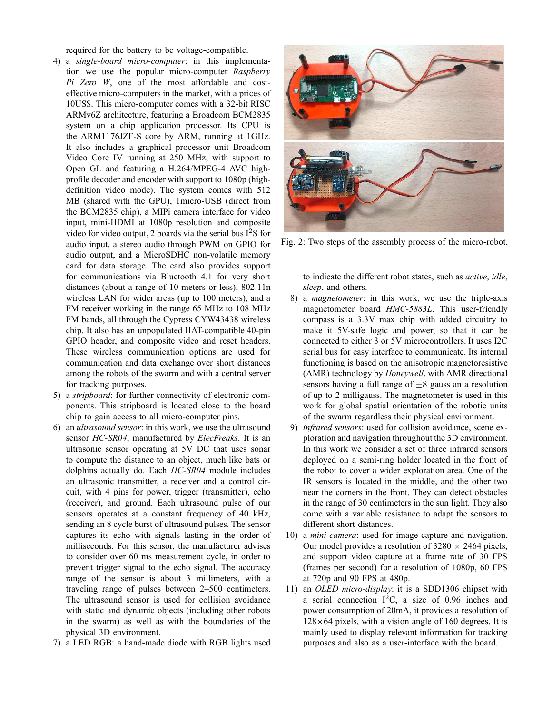required for the battery to be voltage-compatible.

- 4) a *single-board micro-computer*: in this implementation we use the popular micro-computer *Raspberry Pi Zero W*, one of the most affordable and costeffective micro-computers in the market, with a prices of 10US\$. This micro-computer comes with a 32-bit RISC ARMv6Z architecture, featuring a Broadcom BCM2835 system on a chip application processor. Its CPU is the ARM1176JZF-S core by ARM, running at 1GHz. It also includes a graphical processor unit Broadcom Video Core IV running at 250 MHz, with support to Open GL and featuring a H.264/MPEG-4 AVC highprofile decoder and encoder with support to 1080p (highdefinition video mode). The system comes with 512 MB (shared with the GPU), 1micro-USB (direct from the BCM2835 chip), a MIPi camera interface for video input, mini-HDMI at 1080p resolution and composite video for video output, 2 boards via the serial bus  $I^2S$  for audio input, a stereo audio through PWM on GPIO for audio output, and a MicroSDHC non-volatile memory card for data storage. The card also provides support for communications via Bluetooth 4.1 for very short distances (about a range of 10 meters or less), 802.11n wireless LAN for wider areas (up to 100 meters), and a FM receiver working in the range 65 MHz to 108 MHz FM bands, all through the Cypress CYW43438 wireless chip. It also has an unpopulated HAT-compatible 40-pin GPIO header, and composite video and reset headers. These wireless communication options are used for communication and data exchange over short distances among the robots of the swarm and with a central server for tracking purposes.
- 5) a *stripboard*: for further connectivity of electronic components. This stripboard is located close to the board chip to gain access to all micro-computer pins.
- 6) an *ultrasound sensor*: in this work, we use the ultrasound sensor *HC-SR04*, manufactured by *ElecFreaks*. It is an ultrasonic sensor operating at 5V DC that uses sonar to compute the distance to an object, much like bats or dolphins actually do. Each *HC-SR04* module includes an ultrasonic transmitter, a receiver and a control circuit, with 4 pins for power, trigger (transmitter), echo (receiver), and ground. Each ultrasound pulse of our sensors operates at a constant frequency of 40 kHz, sending an 8 cycle burst of ultrasound pulses. The sensor captures its echo with signals lasting in the order of milliseconds. For this sensor, the manufacturer advises to consider over 60 ms measurement cycle, in order to prevent trigger signal to the echo signal. The accuracy range of the sensor is about 3 millimeters, with a traveling range of pulses between 2–500 centimeters. The ultrasound sensor is used for collision avoidance with static and dynamic objects (including other robots in the swarm) as well as with the boundaries of the physical 3D environment.
- 7) a LED RGB: a hand-made diode with RGB lights used



Fig. 2: Two steps of the assembly process of the micro-robot.

to indicate the different robot states, such as *active*, *idle*, *sleep*, and others.

- 8) a *magnetometer*: in this work, we use the triple-axis magnetometer board *HMC-5883L*. This user-friendly compass is a 3.3V max chip with added circuitry to make it 5V-safe logic and power, so that it can be connected to either 3 or 5V microcontrollers. It uses I2C serial bus for easy interface to communicate. Its internal functioning is based on the anisotropic magnetoresistive (AMR) technology by *Honeywell*, with AMR directional sensors having a full range of  $\pm 8$  gauss an a resolution of up to 2 milligauss. The magnetometer is used in this work for global spatial orientation of the robotic units of the swarm regardless their physical environment.
- 9) *infrared sensors*: used for collision avoidance, scene exploration and navigation throughout the 3D environment. In this work we consider a set of three infrared sensors deployed on a semi-ring holder located in the front of the robot to cover a wider exploration area. One of the IR sensors is located in the middle, and the other two near the corners in the front. They can detect obstacles in the range of 30 centimeters in the sun light. They also come with a variable resistance to adapt the sensors to different short distances.
- 10) a *mini-camera*: used for image capture and navigation. Our model provides a resolution of  $3280 \times 2464$  pixels, and support video capture at a frame rate of 30 FPS (frames per second) for a resolution of 1080p, 60 FPS at 720p and 90 FPS at 480p.
- 11) an *OLED micro-display*: it is a SDD1306 chipset with a serial connection  $I^2C$ , a size of 0.96 inches and power consumption of 20mA, it provides a resolution of  $128 \times 64$  pixels, with a vision angle of 160 degrees. It is mainly used to display relevant information for tracking purposes and also as a user-interface with the board.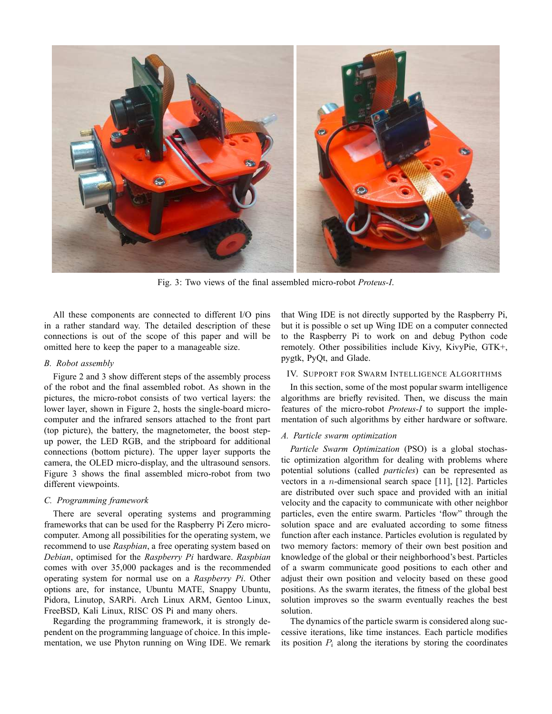

Fig. 3: Two views of the final assembled micro-robot *Proteus-I*.

All these components are connected to different I/O pins in a rather standard way. The detailed description of these connections is out of the scope of this paper and will be omitted here to keep the paper to a manageable size.

# *B. Robot assembly*

Figure 2 and 3 show different steps of the assembly process of the robot and the final assembled robot. As shown in the pictures, the micro-robot consists of two vertical layers: the lower layer, shown in Figure 2, hosts the single-board microcomputer and the infrared sensors attached to the front part (top picture), the battery, the magnetometer, the boost stepup power, the LED RGB, and the stripboard for additional connections (bottom picture). The upper layer supports the camera, the OLED micro-display, and the ultrasound sensors. Figure 3 shows the final assembled micro-robot from two different viewpoints.

# *C. Programming framework*

There are several operating systems and programming frameworks that can be used for the Raspberry Pi Zero microcomputer. Among all possibilities for the operating system, we recommend to use *Raspbian*, a free operating system based on *Debian*, optimised for the *Raspberry Pi* hardware. *Raspbian* comes with over 35,000 packages and is the recommended operating system for normal use on a *Raspberry Pi*. Other options are, for instance, Ubuntu MATE, Snappy Ubuntu, Pidora, Linutop, SARPi. Arch Linux ARM, Gentoo Linux, FreeBSD, Kali Linux, RISC OS Pi and many ohers.

Regarding the programming framework, it is strongly dependent on the programming language of choice. In this implementation, we use Phyton running on Wing IDE. We remark that Wing IDE is not directly supported by the Raspberry Pi, but it is possible o set up Wing IDE on a computer connected to the Raspberry Pi to work on and debug Python code remotely. Other possibilities include Kivy, KivyPie, GTK+, pygtk, PyQt, and Glade.

# IV. SUPPORT FOR SWARM INTELLIGENCE ALGORITHMS

In this section, some of the most popular swarm intelligence algorithms are briefly revisited. Then, we discuss the main features of the micro-robot *Proteus-I* to support the implementation of such algorithms by either hardware or software.

# *A. Particle swarm optimization*

*Particle Swarm Optimization* (PSO) is a global stochastic optimization algorithm for dealing with problems where potential solutions (called *particles*) can be represented as vectors in a n-dimensional search space [11], [12]. Particles are distributed over such space and provided with an initial velocity and the capacity to communicate with other neighbor particles, even the entire swarm. Particles 'flow" through the solution space and are evaluated according to some fitness function after each instance. Particles evolution is regulated by two memory factors: memory of their own best position and knowledge of the global or their neighborhood's best. Particles of a swarm communicate good positions to each other and adjust their own position and velocity based on these good positions. As the swarm iterates, the fitness of the global best solution improves so the swarm eventually reaches the best solution.

The dynamics of the particle swarm is considered along successive iterations, like time instances. Each particle modifies its position  $P_i$  along the iterations by storing the coordinates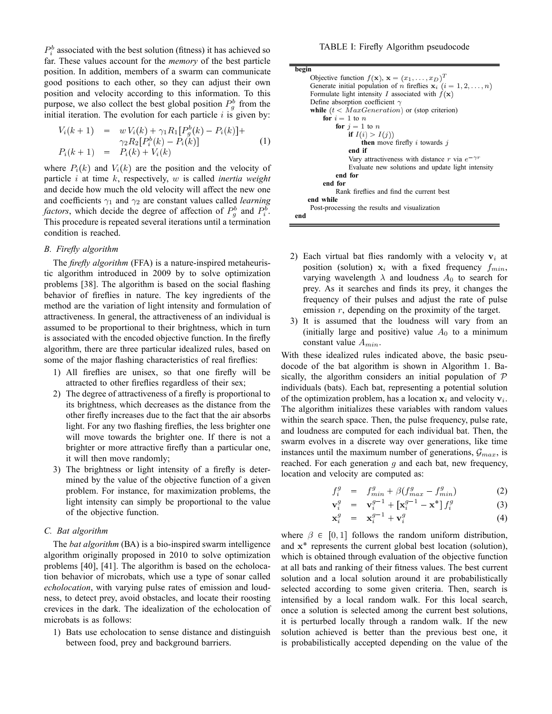$P_i^b$  associated with the best solution (fitness) it has achieved so far. These values account for the *memory* of the best particle position. In addition, members of a swarm can communicate good positions to each other, so they can adjust their own position and velocity according to this information. To this purpose, we also collect the best global position  $P_g^b$  from the initial iteration. The evolution for each particle  $i$  is given by:

$$
V_i(k+1) = w V_i(k) + \gamma_1 R_1 [P_g^b(k) - P_i(k)] +
$$
  
\n
$$
\gamma_2 R_2 [P_i^b(k) - P_i(k)]
$$
  
\n
$$
P_i(k+1) = P_i(k) + V_i(k)
$$
\n(1)

where  $P_i(k)$  and  $V_i(k)$  are the position and the velocity of particle i at time k, respectively, w is called *inertia weight* and decide how much the old velocity will affect the new one and coefficients  $\gamma_1$  and  $\gamma_2$  are constant values called *learning factors*, which decide the degree of affection of  $P_g^b$  and  $P_i^b$ . This procedure is repeated several iterations until a termination condition is reached.

# *B. Firefly algorithm*

The *firefly algorithm* (FFA) is a nature-inspired metaheuristic algorithm introduced in 2009 by to solve optimization problems [38]. The algorithm is based on the social flashing behavior of fireflies in nature. The key ingredients of the method are the variation of light intensity and formulation of attractiveness. In general, the attractiveness of an individual is assumed to be proportional to their brightness, which in turn is associated with the encoded objective function. In the firefly algorithm, there are three particular idealized rules, based on some of the major flashing characteristics of real fireflies:

- 1) All fireflies are unisex, so that one firefly will be attracted to other fireflies regardless of their sex;
- 2) The degree of attractiveness of a firefly is proportional to its brightness, which decreases as the distance from the other firefly increases due to the fact that the air absorbs light. For any two flashing fireflies, the less brighter one will move towards the brighter one. If there is not a brighter or more attractive firefly than a particular one, it will then move randomly;
- 3) The brightness or light intensity of a firefly is determined by the value of the objective function of a given problem. For instance, for maximization problems, the light intensity can simply be proportional to the value of the objective function.

# *C. Bat algorithm*

The *bat algorithm* (BA) is a bio-inspired swarm intelligence algorithm originally proposed in 2010 to solve optimization problems [40], [41]. The algorithm is based on the echolocation behavior of microbats, which use a type of sonar called *echolocation*, with varying pulse rates of emission and loudness, to detect prey, avoid obstacles, and locate their roosting crevices in the dark. The idealization of the echolocation of microbats is as follows:

1) Bats use echolocation to sense distance and distinguish between food, prey and background barriers.

| begin                                                                       |
|-----------------------------------------------------------------------------|
| Objective function $f(\mathbf{x}), \mathbf{x} = (x_1, \dots, x_D)^T$        |
| Generate initial population of <i>n</i> fireflies $x_i$ ( $i = 1, 2, , n$ ) |
| Formulate light intensity I associated with $f(\mathbf{x})$                 |
| Define absorption coefficient $\gamma$                                      |
| while $(t < MaxGeneration)$ or (stop criterion)                             |
| for $i = 1$ to n                                                            |
| for $i = 1$ to n                                                            |
| if $I(i) > I(i)$                                                            |
| <b>then</b> move firefly i towards j                                        |
| end if                                                                      |
| Vary attractiveness with distance r via $e^{-\gamma r}$                     |
| Evaluate new solutions and update light intensity                           |
| end for                                                                     |
| end for                                                                     |
| Rank fireflies and find the current best                                    |
| end while                                                                   |
| Post-processing the results and visualization                               |
| end                                                                         |

- 2) Each virtual bat flies randomly with a velocity  $v_i$  at position (solution)  $x_i$  with a fixed frequency  $f_{min}$ , varying wavelength  $\lambda$  and loudness  $A_0$  to search for prey. As it searches and finds its prey, it changes the frequency of their pulses and adjust the rate of pulse emission  $r$ , depending on the proximity of the target.
- 3) It is assumed that the loudness will vary from an (initially large and positive) value  $A_0$  to a minimum constant value  $A_{min}$ .

With these idealized rules indicated above, the basic pseudocode of the bat algorithm is shown in Algorithm 1. Basically, the algorithm considers an initial population of  $P$ individuals (bats). Each bat, representing a potential solution of the optimization problem, has a location  $x_i$  and velocity  $v_i$ . The algorithm initializes these variables with random values within the search space. Then, the pulse frequency, pulse rate, and loudness are computed for each individual bat. Then, the swarm evolves in a discrete way over generations, like time instances until the maximum number of generations,  $\mathcal{G}_{max}$ , is reached. For each generation  $q$  and each bat, new frequency, location and velocity are computed as:

$$
f_i^g = f_{min}^g + \beta (f_{max}^g - f_{min}^g) \tag{2}
$$

$$
\mathbf{v}_i^g = \mathbf{v}_i^{g-1} + \left[\mathbf{x}_i^{g-1} - \mathbf{x}^*\right] f_i^g \tag{3}
$$

$$
\mathbf{x}_i^g = \mathbf{x}_i^{g-1} + \mathbf{v}_i^g \tag{4}
$$

where  $\beta \in [0, 1]$  follows the random uniform distribution, and  $x^*$  represents the current global best location (solution), which is obtained through evaluation of the objective function at all bats and ranking of their fitness values. The best current solution and a local solution around it are probabilistically selected according to some given criteria. Then, search is intensified by a local random walk. For this local search, once a solution is selected among the current best solutions, it is perturbed locally through a random walk. If the new solution achieved is better than the previous best one, it is probabilistically accepted depending on the value of the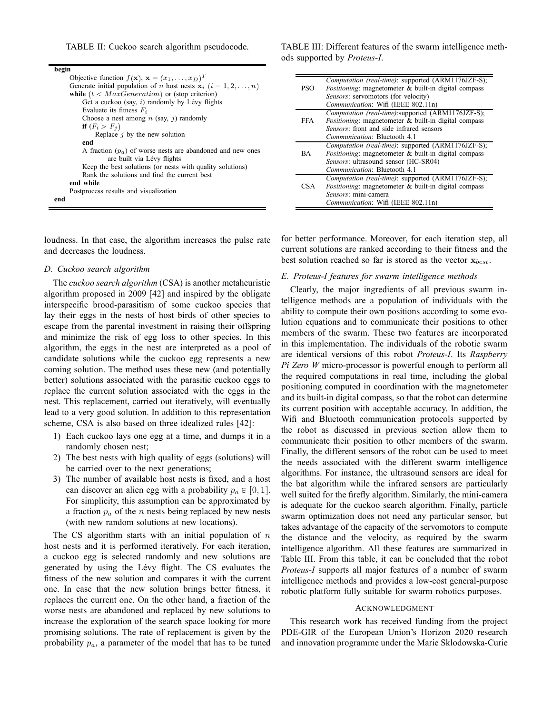TABLE II: Cuckoo search algorithm pseudocode.

| begin                                                                        |
|------------------------------------------------------------------------------|
| Objective function $f(\mathbf{x}), \mathbf{x} = (x_1, \dots, x_D)^T$         |
| Generate initial population of <i>n</i> host nests $x_i$ ( $i = 1, 2, , n$ ) |
| while $(t < MaxGeneration)$ or (stop criterion)                              |
| Get a cuckoo (say, $i$ ) randomly by Lévy flights                            |
| Evaluate its fitness $F_i$                                                   |
| Choose a nest among n (say, j) randomly                                      |
| if $(F_i > F_i)$                                                             |
| Replace $j$ by the new solution                                              |
| end                                                                          |
| A fraction $(p_a)$ of worse nests are abandoned and new ones                 |
| are built via Lévy flights                                                   |
| Keep the best solutions (or nests with quality solutions)                    |
| Rank the solutions and find the current best                                 |
| end while                                                                    |
| Postprocess results and visualization                                        |
| end                                                                          |

loudness. In that case, the algorithm increases the pulse rate and decreases the loudness.

# *D. Cuckoo search algorithm*

The *cuckoo search algorithm* (CSA) is another metaheuristic algorithm proposed in 2009 [42] and inspired by the obligate interspecific brood-parasitism of some cuckoo species that lay their eggs in the nests of host birds of other species to escape from the parental investment in raising their offspring and minimize the risk of egg loss to other species. In this algorithm, the eggs in the nest are interpreted as a pool of candidate solutions while the cuckoo egg represents a new coming solution. The method uses these new (and potentially better) solutions associated with the parasitic cuckoo eggs to replace the current solution associated with the eggs in the nest. This replacement, carried out iteratively, will eventually lead to a very good solution. In addition to this representation scheme, CSA is also based on three idealized rules [42]:

- 1) Each cuckoo lays one egg at a time, and dumps it in a randomly chosen nest;
- 2) The best nests with high quality of eggs (solutions) will be carried over to the next generations;
- 3) The number of available host nests is fixed, and a host can discover an alien egg with a probability  $p_a \in [0, 1]$ . For simplicity, this assumption can be approximated by a fraction  $p_a$  of the n nests being replaced by new nests (with new random solutions at new locations).

The CS algorithm starts with an initial population of  $n$ host nests and it is performed iteratively. For each iteration, a cuckoo egg is selected randomly and new solutions are generated by using the Lévy flight. The CS evaluates the fitness of the new solution and compares it with the current one. In case that the new solution brings better fitness, it replaces the current one. On the other hand, a fraction of the worse nests are abandoned and replaced by new solutions to increase the exploration of the search space looking for more promising solutions. The rate of replacement is given by the probability  $p_a$ , a parameter of the model that has to be tuned

TABLE III: Different features of the swarm intelligence methods supported by *Proteus-I*.

|            | Computation (real-time): supported (ARM1176JZF-S);          |
|------------|-------------------------------------------------------------|
| PSO        | <i>Positioning:</i> magnetometer & built-in digital compass |
|            | Sensors: servomotors (for velocity)                         |
|            | Communication: Wifi (IEEE 802.11n)                          |
|            | Computation (real-time):supported (ARM1176JZF-S);           |
| FFA.       | <i>Positioning:</i> magnetometer & built-in digital compass |
|            | Sensors: front and side infrared sensors                    |
|            | <i>Communication:</i> Bluetooth 4.1                         |
|            | Computation (real-time): supported (ARM1176JZF-S);          |
| <b>BA</b>  | <i>Positioning:</i> magnetometer & built-in digital compass |
|            | Sensors: ultrasound sensor (HC-SR04)                        |
|            | <i>Communication:</i> Bluetooth 4.1                         |
|            | Computation (real-time): supported (ARM1176JZF-S);          |
| <b>CSA</b> | <i>Positioning:</i> magnetometer & built-in digital compass |
|            | Sensors: mini-camera                                        |
|            | Communication: Wifi (IEEE 802.11n)                          |

for better performance. Moreover, for each iteration step, all current solutions are ranked according to their fitness and the best solution reached so far is stored as the vector  $x_{best}$ .

# *E. Proteus-I features for swarm intelligence methods*

Clearly, the major ingredients of all previous swarm intelligence methods are a population of individuals with the ability to compute their own positions according to some evolution equations and to communicate their positions to other members of the swarm. These two features are incorporated in this implementation. The individuals of the robotic swarm are identical versions of this robot *Proteus-I*. Its *Raspberry Pi Zero W* micro-processor is powerful enough to perform all the required computations in real time, including the global positioning computed in coordination with the magnetometer and its built-in digital compass, so that the robot can determine its current position with acceptable accuracy. In addition, the Wifi and Bluetooth communication protocols supported by the robot as discussed in previous section allow them to communicate their position to other members of the swarm. Finally, the different sensors of the robot can be used to meet the needs associated with the different swarm intelligence algorithms. For instance, the ultrasound sensors are ideal for the bat algorithm while the infrared sensors are particularly well suited for the firefly algorithm. Similarly, the mini-camera is adequate for the cuckoo search algorithm. Finally, particle swarm optimization does not need any particular sensor, but takes advantage of the capacity of the servomotors to compute the distance and the velocity, as required by the swarm intelligence algorithm. All these features are summarized in Table III. From this table, it can be concluded that the robot *Proteus-I* supports all major features of a number of swarm intelligence methods and provides a low-cost general-purpose robotic platform fully suitable for swarm robotics purposes.

#### **ACKNOWLEDGMENT**

This research work has received funding from the project PDE-GIR of the European Union's Horizon 2020 research and innovation programme under the Marie Sklodowska-Curie